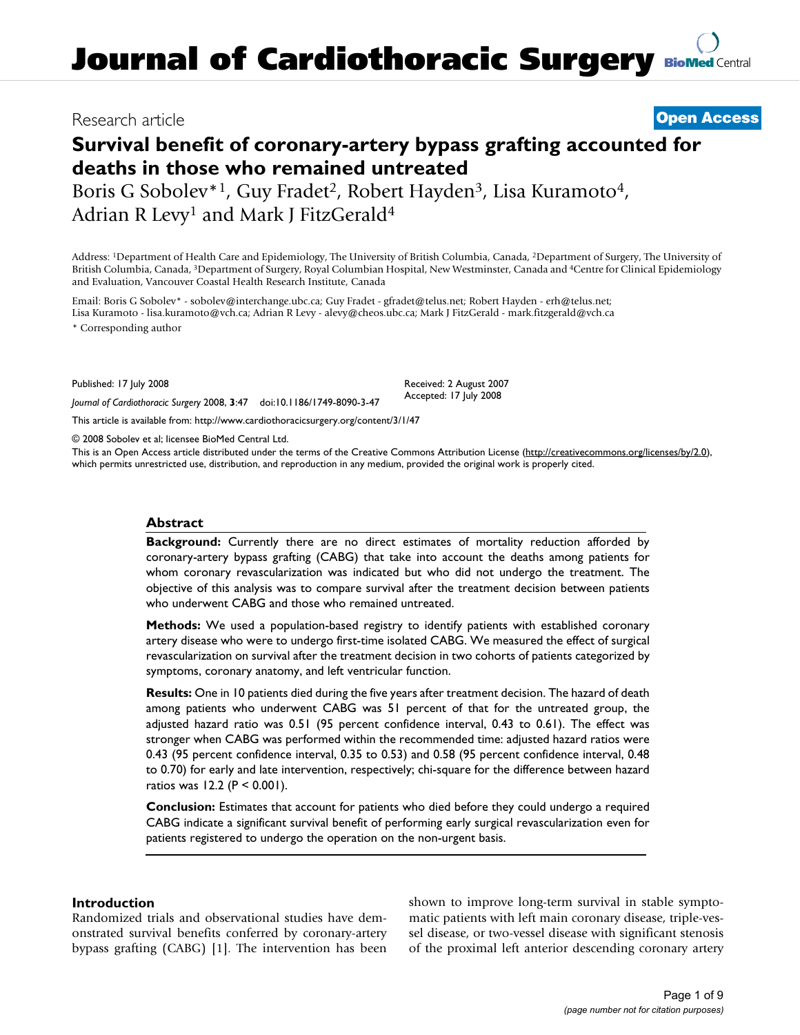## Research article **[Open Access](http://www.biomedcentral.com/info/about/charter/)**

# **Survival benefit of coronary-artery bypass grafting accounted for deaths in those who remained untreated**

Boris G Sobolev<sup>\*1</sup>, Guy Fradet<sup>2</sup>, Robert Hayden<sup>3</sup>, Lisa Kuramoto<sup>4</sup>, Adrian R Levy<sup>1</sup> and Mark J FitzGerald<sup>4</sup>

Address: 1Department of Health Care and Epidemiology, The University of British Columbia, Canada, 2Department of Surgery, The University of British Columbia, Canada, 3Department of Surgery, Royal Columbian Hospital, New Westminster, Canada and 4Centre for Clinical Epidemiology and Evaluation, Vancouver Coastal Health Research Institute, Canada

Email: Boris G Sobolev\* - sobolev@interchange.ubc.ca; Guy Fradet - gfradet@telus.net; Robert Hayden - erh@telus.net; Lisa Kuramoto - lisa.kuramoto@vch.ca; Adrian R Levy - alevy@cheos.ubc.ca; Mark J FitzGerald - mark.fitzgerald@vch.ca \* Corresponding author

Published: 17 July 2008

*Journal of Cardiothoracic Surgery* 2008, **3**:47 doi:10.1186/1749-8090-3-47

Received: 2 August 2007 Accepted: 17 July 2008

[This article is available from: http://www.cardiothoracicsurgery.org/content/3/1/47](http://www.cardiothoracicsurgery.org/content/3/1/47)

© 2008 Sobolev et al; licensee BioMed Central Ltd.

This is an Open Access article distributed under the terms of the Creative Commons Attribution License [\(http://creativecommons.org/licenses/by/2.0\)](http://creativecommons.org/licenses/by/2.0), which permits unrestricted use, distribution, and reproduction in any medium, provided the original work is properly cited.

#### **Abstract**

**Background:** Currently there are no direct estimates of mortality reduction afforded by coronary-artery bypass grafting (CABG) that take into account the deaths among patients for whom coronary revascularization was indicated but who did not undergo the treatment. The objective of this analysis was to compare survival after the treatment decision between patients who underwent CABG and those who remained untreated.

**Methods:** We used a population-based registry to identify patients with established coronary artery disease who were to undergo first-time isolated CABG. We measured the effect of surgical revascularization on survival after the treatment decision in two cohorts of patients categorized by symptoms, coronary anatomy, and left ventricular function.

**Results:** One in 10 patients died during the five years after treatment decision. The hazard of death among patients who underwent CABG was 51 percent of that for the untreated group, the adjusted hazard ratio was 0.51 (95 percent confidence interval, 0.43 to 0.61). The effect was stronger when CABG was performed within the recommended time: adjusted hazard ratios were 0.43 (95 percent confidence interval, 0.35 to 0.53) and 0.58 (95 percent confidence interval, 0.48 to 0.70) for early and late intervention, respectively; chi-square for the difference between hazard ratios was 12.2 ( $P < 0.001$ ).

**Conclusion:** Estimates that account for patients who died before they could undergo a required CABG indicate a significant survival benefit of performing early surgical revascularization even for patients registered to undergo the operation on the non-urgent basis.

## **Introduction**

Randomized trials and observational studies have demonstrated survival benefits conferred by coronary-artery bypass grafting (CABG) [1]. The intervention has been shown to improve long-term survival in stable symptomatic patients with left main coronary disease, triple-vessel disease, or two-vessel disease with significant stenosis of the proximal left anterior descending coronary artery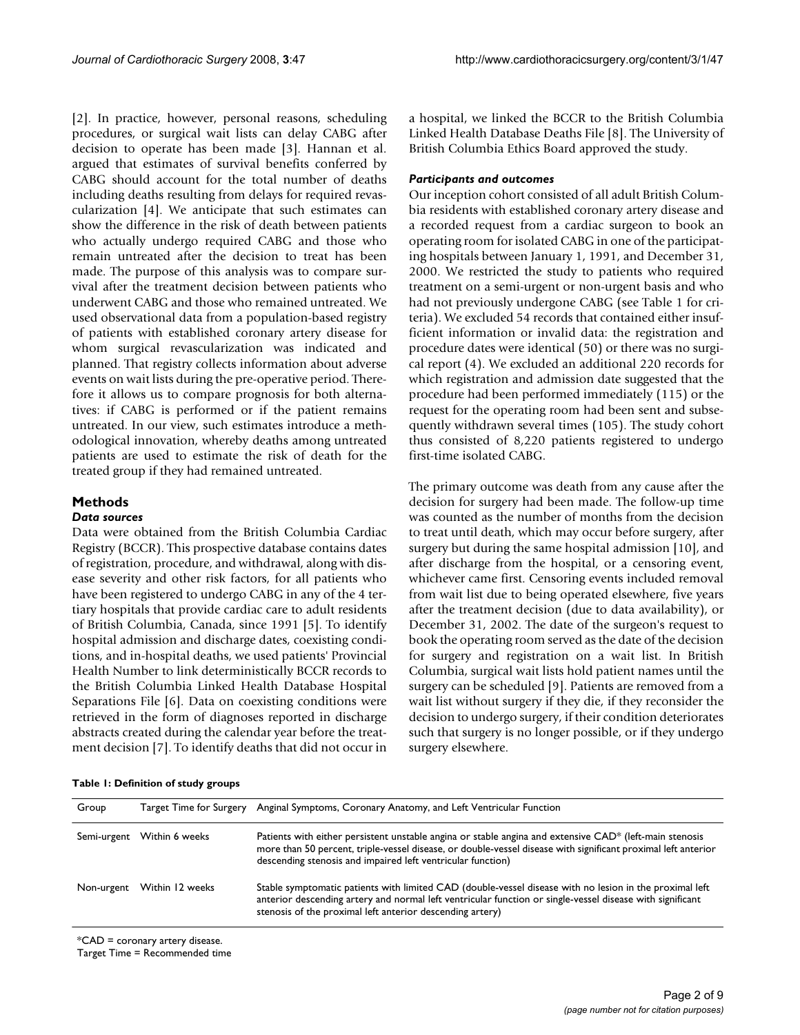[2]. In practice, however, personal reasons, scheduling procedures, or surgical wait lists can delay CABG after decision to operate has been made [3]. Hannan et al. argued that estimates of survival benefits conferred by CABG should account for the total number of deaths including deaths resulting from delays for required revascularization [4]. We anticipate that such estimates can show the difference in the risk of death between patients who actually undergo required CABG and those who remain untreated after the decision to treat has been made. The purpose of this analysis was to compare survival after the treatment decision between patients who underwent CABG and those who remained untreated. We used observational data from a population-based registry of patients with established coronary artery disease for whom surgical revascularization was indicated and planned. That registry collects information about adverse events on wait lists during the pre-operative period. Therefore it allows us to compare prognosis for both alternatives: if CABG is performed or if the patient remains untreated. In our view, such estimates introduce a methodological innovation, whereby deaths among untreated patients are used to estimate the risk of death for the treated group if they had remained untreated.

## **Methods**

## *Data sources*

Data were obtained from the British Columbia Cardiac Registry (BCCR). This prospective database contains dates of registration, procedure, and withdrawal, along with disease severity and other risk factors, for all patients who have been registered to undergo CABG in any of the 4 tertiary hospitals that provide cardiac care to adult residents of British Columbia, Canada, since 1991 [5]. To identify hospital admission and discharge dates, coexisting conditions, and in-hospital deaths, we used patients' Provincial Health Number to link deterministically BCCR records to the British Columbia Linked Health Database Hospital Separations File [6]. Data on coexisting conditions were retrieved in the form of diagnoses reported in discharge abstracts created during the calendar year before the treatment decision [7]. To identify deaths that did not occur in a hospital, we linked the BCCR to the British Columbia Linked Health Database Deaths File [8]. The University of British Columbia Ethics Board approved the study.

### *Participants and outcomes*

Our inception cohort consisted of all adult British Columbia residents with established coronary artery disease and a recorded request from a cardiac surgeon to book an operating room for isolated CABG in one of the participating hospitals between January 1, 1991, and December 31, 2000. We restricted the study to patients who required treatment on a semi-urgent or non-urgent basis and who had not previously undergone CABG (see Table 1 for criteria). We excluded 54 records that contained either insufficient information or invalid data: the registration and procedure dates were identical (50) or there was no surgical report (4). We excluded an additional 220 records for which registration and admission date suggested that the procedure had been performed immediately (115) or the request for the operating room had been sent and subsequently withdrawn several times (105). The study cohort thus consisted of 8,220 patients registered to undergo first-time isolated CABG.

The primary outcome was death from any cause after the decision for surgery had been made. The follow-up time was counted as the number of months from the decision to treat until death, which may occur before surgery, after surgery but during the same hospital admission [10], and after discharge from the hospital, or a censoring event, whichever came first. Censoring events included removal from wait list due to being operated elsewhere, five years after the treatment decision (due to data availability), or December 31, 2002. The date of the surgeon's request to book the operating room served as the date of the decision for surgery and registration on a wait list. In British Columbia, surgical wait lists hold patient names until the surgery can be scheduled [9]. Patients are removed from a wait list without surgery if they die, if they reconsider the decision to undergo surgery, if their condition deteriorates such that surgery is no longer possible, or if they undergo surgery elsewhere.

| Group       |                 | Target Time for Surgery Anginal Symptoms, Coronary Anatomy, and Left Ventricular Function                                                                                                                                                                                               |
|-------------|-----------------|-----------------------------------------------------------------------------------------------------------------------------------------------------------------------------------------------------------------------------------------------------------------------------------------|
| Semi-urgent | Within 6 weeks  | Patients with either persistent unstable angina or stable angina and extensive CAD* (left-main stenosis<br>more than 50 percent, triple-vessel disease, or double-vessel disease with significant proximal left anterior<br>descending stenosis and impaired left ventricular function) |
| Non-urgent  | Within 12 weeks | Stable symptomatic patients with limited CAD (double-vessel disease with no lesion in the proximal left<br>anterior descending artery and normal left ventricular function or single-vessel disease with significant<br>stenosis of the proximal left anterior descending artery)       |

**Table 1: Definition of study groups**

\*CAD = coronary artery disease.

Target Time = Recommended time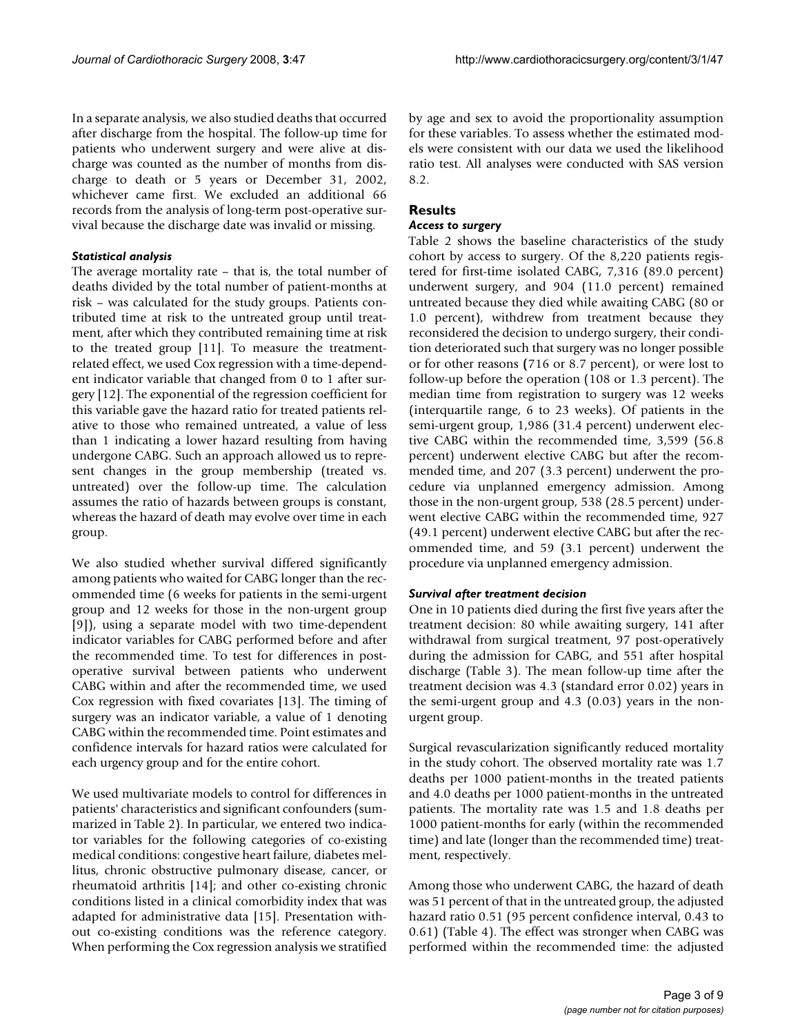In a separate analysis, we also studied deaths that occurred after discharge from the hospital. The follow-up time for patients who underwent surgery and were alive at discharge was counted as the number of months from discharge to death or 5 years or December 31, 2002, whichever came first. We excluded an additional 66 records from the analysis of long-term post-operative survival because the discharge date was invalid or missing.

## *Statistical analysis*

The average mortality rate – that is, the total number of deaths divided by the total number of patient-months at risk – was calculated for the study groups. Patients contributed time at risk to the untreated group until treatment, after which they contributed remaining time at risk to the treated group [11]. To measure the treatmentrelated effect, we used Cox regression with a time-dependent indicator variable that changed from 0 to 1 after surgery [12]. The exponential of the regression coefficient for this variable gave the hazard ratio for treated patients relative to those who remained untreated, a value of less than 1 indicating a lower hazard resulting from having undergone CABG. Such an approach allowed us to represent changes in the group membership (treated vs. untreated) over the follow-up time. The calculation assumes the ratio of hazards between groups is constant, whereas the hazard of death may evolve over time in each group.

We also studied whether survival differed significantly among patients who waited for CABG longer than the recommended time (6 weeks for patients in the semi-urgent group and 12 weeks for those in the non-urgent group [9]), using a separate model with two time-dependent indicator variables for CABG performed before and after the recommended time. To test for differences in postoperative survival between patients who underwent CABG within and after the recommended time, we used Cox regression with fixed covariates [13]. The timing of surgery was an indicator variable, a value of 1 denoting CABG within the recommended time. Point estimates and confidence intervals for hazard ratios were calculated for each urgency group and for the entire cohort.

We used multivariate models to control for differences in patients' characteristics and significant confounders (summarized in Table 2). In particular, we entered two indicator variables for the following categories of co-existing medical conditions: congestive heart failure, diabetes mellitus, chronic obstructive pulmonary disease, cancer, or rheumatoid arthritis [14]; and other co-existing chronic conditions listed in a clinical comorbidity index that was adapted for administrative data [15]. Presentation without co-existing conditions was the reference category. When performing the Cox regression analysis we stratified by age and sex to avoid the proportionality assumption for these variables. To assess whether the estimated models were consistent with our data we used the likelihood ratio test. All analyses were conducted with SAS version 8.2.

## **Results**

## *Access to surgery*

Table 2 shows the baseline characteristics of the study cohort by access to surgery. Of the 8,220 patients registered for first-time isolated CABG, 7,316 (89.0 percent) underwent surgery, and 904 (11.0 percent) remained untreated because they died while awaiting CABG (80 or 1.0 percent), withdrew from treatment because they reconsidered the decision to undergo surgery, their condition deteriorated such that surgery was no longer possible or for other reasons **(**716 or 8.7 percent), or were lost to follow-up before the operation (108 or 1.3 percent). The median time from registration to surgery was 12 weeks (interquartile range, 6 to 23 weeks). Of patients in the semi-urgent group, 1,986 (31.4 percent) underwent elective CABG within the recommended time, 3,599 (56.8 percent) underwent elective CABG but after the recommended time, and 207 (3.3 percent) underwent the procedure via unplanned emergency admission. Among those in the non-urgent group, 538 (28.5 percent) underwent elective CABG within the recommended time, 927 (49.1 percent) underwent elective CABG but after the recommended time, and 59 (3.1 percent) underwent the procedure via unplanned emergency admission.

## *Survival after treatment decision*

One in 10 patients died during the first five years after the treatment decision: 80 while awaiting surgery, 141 after withdrawal from surgical treatment, 97 post-operatively during the admission for CABG, and 551 after hospital discharge (Table 3). The mean follow-up time after the treatment decision was 4.3 (standard error 0.02) years in the semi-urgent group and 4.3 (0.03) years in the nonurgent group.

Surgical revascularization significantly reduced mortality in the study cohort. The observed mortality rate was 1.7 deaths per 1000 patient-months in the treated patients and 4.0 deaths per 1000 patient-months in the untreated patients. The mortality rate was 1.5 and 1.8 deaths per 1000 patient-months for early (within the recommended time) and late (longer than the recommended time) treatment, respectively.

Among those who underwent CABG, the hazard of death was 51 percent of that in the untreated group, the adjusted hazard ratio 0.51 (95 percent confidence interval, 0.43 to 0.61) (Table 4). The effect was stronger when CABG was performed within the recommended time: the adjusted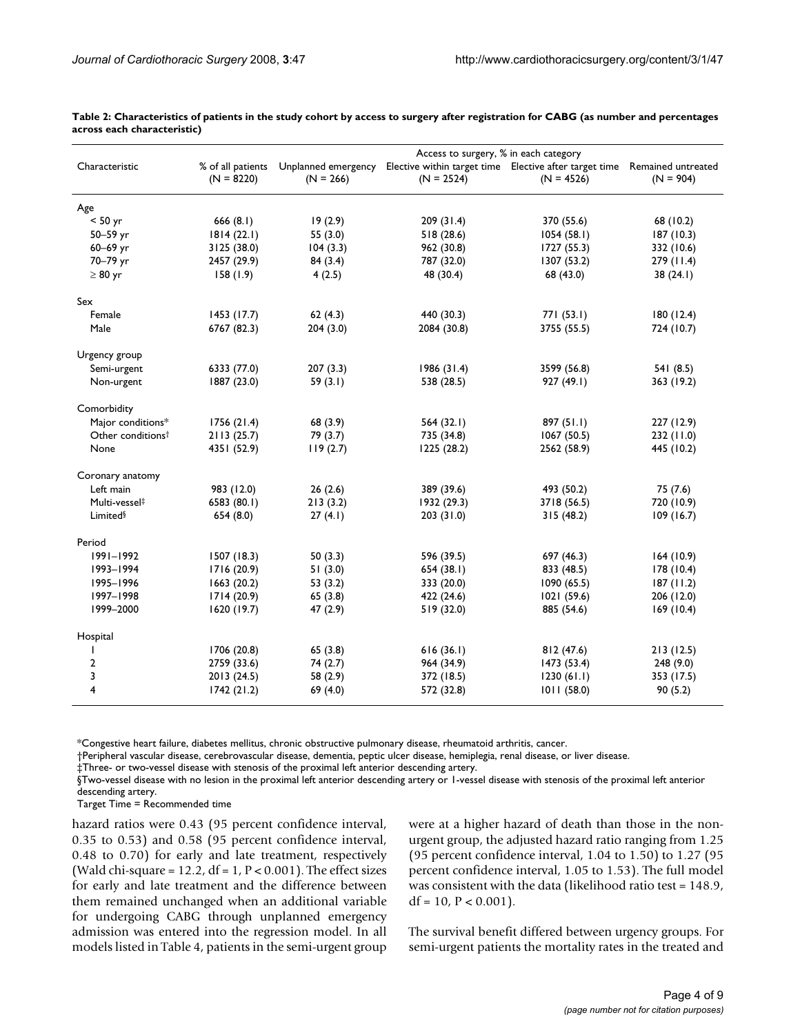|                               |                                   |                                    | Access to surgery, % in each category                                                     |              |             |
|-------------------------------|-----------------------------------|------------------------------------|-------------------------------------------------------------------------------------------|--------------|-------------|
| Characteristic                | % of all patients<br>$(N = 8220)$ | Unplanned emergency<br>$(N = 266)$ | Elective within target time Elective after target time Remained untreated<br>$(N = 2524)$ | $(N = 4526)$ | $(N = 904)$ |
| Age                           |                                   |                                    |                                                                                           |              |             |
| $< 50$ yr                     | 666(8.1)                          | 19(2.9)                            | 209(31.4)                                                                                 | 370 (55.6)   | 68 (10.2)   |
| 50-59 yr                      | 1814(22.1)                        | 55 (3.0)                           | 518 (28.6)                                                                                | 1054(58.1)   | 187(10.3)   |
| 60-69 yr                      | 3125 (38.0)                       | 104(3.3)                           | 962 (30.8)                                                                                | 1727(55.3)   | 332 (10.6)  |
| 70-79 yr                      | 2457 (29.9)                       | 84(3.4)                            | 787 (32.0)                                                                                | 1307 (53.2)  | 279(11.4)   |
| $\geq 80$ yr                  | 158(1.9)                          | 4(2.5)                             | 48 (30.4)                                                                                 | 68 (43.0)    | 38(24.1)    |
| Sex                           |                                   |                                    |                                                                                           |              |             |
| Female                        | 1453(17.7)                        | 62(4.3)                            | 440 (30.3)                                                                                | 771(53.1)    | 180(12.4)   |
| Male                          | 6767 (82.3)                       | 204(3.0)                           | 2084 (30.8)                                                                               | 3755 (55.5)  | 724 (10.7)  |
| Urgency group                 |                                   |                                    |                                                                                           |              |             |
| Semi-urgent                   | 6333 (77.0)                       | 207(3.3)                           | 1986(31.4)                                                                                | 3599 (56.8)  | 541 (8.5)   |
| Non-urgent                    | 1887 (23.0)                       | 59(3.1)                            | 538 (28.5)                                                                                | 927 (49.1)   | 363 (19.2)  |
| Comorbidity                   |                                   |                                    |                                                                                           |              |             |
| Major conditions*             | 1756(21.4)                        | 68(3.9)                            | 564(32.1)                                                                                 | 897(51.1)    | 227 (12.9)  |
| Other conditions <sup>†</sup> | 2113(25.7)                        | 79(3.7)                            | 735 (34.8)                                                                                | 1067(50.5)   | 232(11.0)   |
| None                          | 4351 (52.9)                       | 119(2.7)                           | 1225 (28.2)                                                                               | 2562 (58.9)  | 445 (10.2)  |
| Coronary anatomy              |                                   |                                    |                                                                                           |              |             |
| Left main                     | 983 (12.0)                        | 26(2.6)                            | 389 (39.6)                                                                                | 493 (50.2)   | 75 (7.6)    |
| Multi-vessel <sup>‡</sup>     | 6583 (80.1)                       | 213(3.2)                           | 1932 (29.3)                                                                               | 3718 (56.5)  | 720 (10.9)  |
| Limited <sup>§</sup>          | 654 (8.0)                         | 27(4.1)                            | 203 (31.0)                                                                                | 315 (48.2)   | 109 (16.7)  |
| Period                        |                                   |                                    |                                                                                           |              |             |
| $ 991 -  992$                 | 1507(18.3)                        | 50 $(3.3)$                         | 596 (39.5)                                                                                | 697 (46.3)   | 164(10.9)   |
| 1993-1994                     | 1716 (20.9)                       | 51(3.0)                            | 654(38.1)                                                                                 | 833 (48.5)   | 178(10.4)   |
| 1995-1996                     | 1663(20.2)                        | 53(3.2)                            | 333 (20.0)                                                                                | 1090 (65.5)  | 187(11.2)   |
| 1997-1998                     | 1714(20.9)                        | 65(3.8)                            | 422 (24.6)                                                                                | 1021(59.6)   | 206 (12.0)  |
| 1999-2000                     | 1620 (19.7)                       | 47 (2.9)                           | 519 (32.0)                                                                                | 885 (54.6)   | 169(10.4)   |
| Hospital                      |                                   |                                    |                                                                                           |              |             |
| ı                             | 1706 (20.8)                       | 65(3.8)                            | 616(36.1)                                                                                 | 812 (47.6)   | 213(12.5)   |
| $\overline{2}$                | 2759 (33.6)                       | 74(2.7)                            | 964 (34.9)                                                                                | 1473(53.4)   | 248(9.0)    |
| 3                             | 2013 (24.5)                       | 58 (2.9)                           | 372 (18.5)                                                                                | 1230(61.1)   | 353 (17.5)  |
| 4                             | 1742(21.2)                        | 69(4.0)                            | 572 (32.8)                                                                                | 1011(58.0)   | 90(5.2)     |

**Table 2: Characteristics of patients in the study cohort by access to surgery after registration for CABG (as number and percentages across each characteristic)**

\*Congestive heart failure, diabetes mellitus, chronic obstructive pulmonary disease, rheumatoid arthritis, cancer.

†Peripheral vascular disease, cerebrovascular disease, dementia, peptic ulcer disease, hemiplegia, renal disease, or liver disease.

‡Three- or two-vessel disease with stenosis of the proximal left anterior descending artery.

§Two-vessel disease with no lesion in the proximal left anterior descending artery or 1-vessel disease with stenosis of the proximal left anterior descending artery.

Target Time = Recommended time

hazard ratios were 0.43 (95 percent confidence interval, 0.35 to 0.53) and 0.58 (95 percent confidence interval, 0.48 to 0.70) for early and late treatment, respectively (Wald chi-square =  $12.2$ , df =  $1$ , P < 0.001). The effect sizes for early and late treatment and the difference between them remained unchanged when an additional variable for undergoing CABG through unplanned emergency admission was entered into the regression model. In all models listed in Table 4, patients in the semi-urgent group

were at a higher hazard of death than those in the nonurgent group, the adjusted hazard ratio ranging from 1.25 (95 percent confidence interval, 1.04 to 1.50) to 1.27 (95 percent confidence interval, 1.05 to 1.53). The full model was consistent with the data (likelihood ratio test = 148.9, df = 10,  $P < 0.001$ ).

The survival benefit differed between urgency groups. For semi-urgent patients the mortality rates in the treated and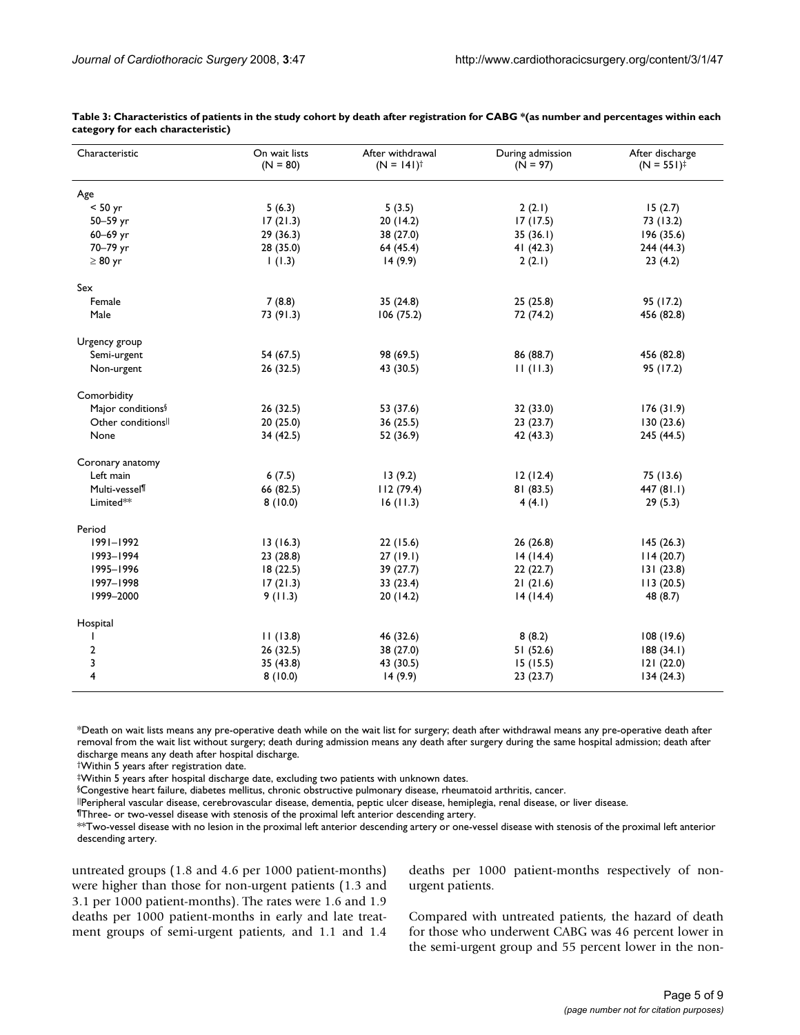| Characteristic                 | On wait lists<br>$(N = 80)$ | After withdrawal<br>$(N = 141)^{\dagger}$ | During admission<br>$(N = 97)$ | After discharge<br>$(N = 551)^{\ddagger}$ |
|--------------------------------|-----------------------------|-------------------------------------------|--------------------------------|-------------------------------------------|
| Age                            |                             |                                           |                                |                                           |
| $< 50$ yr                      | 5(6.3)                      | 5(3.5)                                    | 2(2.1)                         | 15(2.7)                                   |
| 50-59 yr                       | 17(21.3)                    | 20(14.2)                                  | 17(17.5)                       | 73 (13.2)                                 |
| 60-69 yr                       | 29(36.3)                    | 38 (27.0)                                 | 35(36.1)                       | 196 (35.6)                                |
| 70-79 yr                       | 28 (35.0)                   | 64 (45.4)                                 | 41(42.3)                       | 244 (44.3)                                |
| $\geq 80$ yr                   | (1.3)                       | 14(9.9)                                   | 2(2.1)                         | 23(4.2)                                   |
| Sex                            |                             |                                           |                                |                                           |
| Female                         | 7(8.8)                      | 35(24.8)                                  | 25(25.8)                       | 95 (17.2)                                 |
| Male                           | 73 (91.3)                   | 106 (75.2)                                | 72 (74.2)                      | 456 (82.8)                                |
| Urgency group                  |                             |                                           |                                |                                           |
| Semi-urgent                    | 54 (67.5)                   | 98 (69.5)                                 | 86 (88.7)                      | 456 (82.8)                                |
| Non-urgent                     | 26 (32.5)                   | 43 (30.5)                                 | 11(11.3)                       | 95 (17.2)                                 |
| Comorbidity                    |                             |                                           |                                |                                           |
| Major conditions <sup>§</sup>  | 26 (32.5)                   | 53 (37.6)                                 | 32 (33.0)                      | 176(31.9)                                 |
| Other conditions <sup>II</sup> | 20(25.0)                    | 36 (25.5)                                 | 23(23.7)                       | 130(23.6)                                 |
| None                           | 34 (42.5)                   | 52 (36.9)                                 | 42 (43.3)                      | 245 (44.5)                                |
| Coronary anatomy               |                             |                                           |                                |                                           |
| Left main                      | 6(7.5)                      | 13(9.2)                                   | 12(12.4)                       | 75 (13.6)                                 |
| Multi-vessel <sup>¶</sup>      | 66 (82.5)                   | 112(79.4)                                 | 81 (83.5)                      | 447 (81.1)                                |
| Limited**                      | 8(10.0)                     | 16(11.3)                                  | 4(4.1)                         | 29(5.3)                                   |
| Period                         |                             |                                           |                                |                                           |
| $1991 - 1992$                  | 13(16.3)                    | 22 (15.6)                                 | 26(26.8)                       | 145(26.3)                                 |
| 1993-1994                      | 23 (28.8)                   | 27(19.1)                                  | 14(14.4)                       | 114(20.7)                                 |
| 1995-1996                      | 18(22.5)                    | 39(27.7)                                  | 22(22.7)                       | 131(23.8)                                 |
| 1997-1998                      | 17(21.3)                    | 33(23.4)                                  | 21(21.6)                       | 113(20.5)                                 |
| 1999-2000                      | 9(11.3)                     | 20(14.2)                                  | 14(14.4)                       | 48 (8.7)                                  |
| Hospital                       |                             |                                           |                                |                                           |
|                                | 11(13.8)                    | 46 (32.6)                                 | 8(8.2)                         | 108(19.6)                                 |
| $\overline{\mathbf{c}}$        | 26 (32.5)                   | 38 (27.0)                                 | 51 (52.6)                      | 188(34.1)                                 |
| 3                              | 35 (43.8)                   | 43 (30.5)                                 | 15(15.5)                       | 121(22.0)                                 |
| 4                              | 8(10.0)                     | 14(9.9)                                   | 23(23.7)                       | 134(24.3)                                 |

**Table 3: Characteristics of patients in the study cohort by death after registration for CABG \*(as number and percentages within each category for each characteristic)**

\*Death on wait lists means any pre-operative death while on the wait list for surgery; death after withdrawal means any pre-operative death after removal from the wait list without surgery; death during admission means any death after surgery during the same hospital admission; death after discharge means any death after hospital discharge.

†Within 5 years after registration date.

‡Within 5 years after hospital discharge date, excluding two patients with unknown dates.

§Congestive heart failure, diabetes mellitus, chronic obstructive pulmonary disease, rheumatoid arthritis, cancer.

||Peripheral vascular disease, cerebrovascular disease, dementia, peptic ulcer disease, hemiplegia, renal disease, or liver disease.

¶Three- or two-vessel disease with stenosis of the proximal left anterior descending artery.

\*\*Two-vessel disease with no lesion in the proximal left anterior descending artery or one-vessel disease with stenosis of the proximal left anterior descending artery.

untreated groups (1.8 and 4.6 per 1000 patient-months) were higher than those for non-urgent patients (1.3 and 3.1 per 1000 patient-months). The rates were 1.6 and 1.9 deaths per 1000 patient-months in early and late treatment groups of semi-urgent patients, and 1.1 and 1.4

deaths per 1000 patient-months respectively of nonurgent patients.

Compared with untreated patients, the hazard of death for those who underwent CABG was 46 percent lower in the semi-urgent group and 55 percent lower in the non-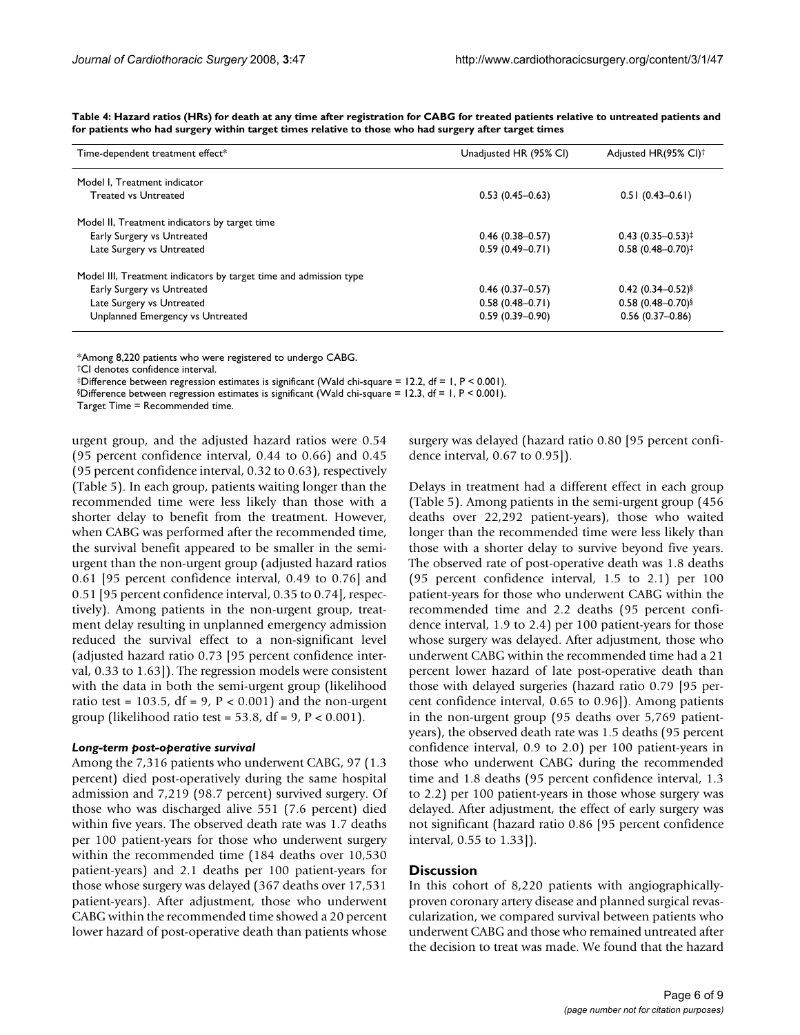| Time-dependent treatment effect*                                  | Unadjusted HR (95% CI) | Adjusted HR(95% CI) <sup>†</sup> |
|-------------------------------------------------------------------|------------------------|----------------------------------|
| Model I, Treatment indicator                                      |                        |                                  |
| <b>Treated vs Untreated</b>                                       | $0.53(0.45 - 0.63)$    | $0.51(0.43 - 0.61)$              |
| Model II, Treatment indicators by target time                     |                        |                                  |
| Early Surgery vs Untreated                                        | $0.46(0.38 - 0.57)$    | $0.43(0.35-0.53)$                |
| Late Surgery vs Untreated                                         | $0.59(0.49 - 0.71)$    | $0.58(0.48 - 0.70)^{\ddagger}$   |
| Model III, Treatment indicators by target time and admission type |                        |                                  |
| Early Surgery vs Untreated                                        | $0.46(0.37 - 0.57)$    | $0.42(0.34 - 0.52)^{6}$          |
| Late Surgery vs Untreated                                         | $0.58(0.48 - 0.71)$    | $0.58(0.48 - 0.70)$ §            |
| Unplanned Emergency vs Untreated                                  | $0.59(0.39 - 0.90)$    | $0.56(0.37-0.86)$                |

**Table 4: Hazard ratios (HRs) for death at any time after registration for CABG for treated patients relative to untreated patients and for patients who had surgery within target times relative to those who had surgery after target times**

\*Among 8,220 patients who were registered to undergo CABG.

†CI denotes confidence interval.

 $\ddagger$ Difference between regression estimates is significant (Wald chi-square = 12.2, df = 1, P < 0.001).

§Difference between regression estimates is significant (Wald chi-square = 12.3, df = 1, P < 0.001).

Target Time = Recommended time.

urgent group, and the adjusted hazard ratios were 0.54 (95 percent confidence interval, 0.44 to 0.66) and 0.45 (95 percent confidence interval, 0.32 to 0.63), respectively (Table 5). In each group, patients waiting longer than the recommended time were less likely than those with a shorter delay to benefit from the treatment. However, when CABG was performed after the recommended time, the survival benefit appeared to be smaller in the semiurgent than the non-urgent group (adjusted hazard ratios 0.61 [95 percent confidence interval, 0.49 to 0.76] and 0.51 [95 percent confidence interval, 0.35 to 0.74], respectively). Among patients in the non-urgent group, treatment delay resulting in unplanned emergency admission reduced the survival effect to a non-significant level (adjusted hazard ratio 0.73 [95 percent confidence interval, 0.33 to 1.63]). The regression models were consistent with the data in both the semi-urgent group (likelihood ratio test = 103.5, df = 9,  $P < 0.001$ ) and the non-urgent group (likelihood ratio test =  $53.8$ , df =  $9$ , P < 0.001).

## *Long-term post-operative survival*

Among the 7,316 patients who underwent CABG, 97 (1.3 percent) died post-operatively during the same hospital admission and 7,219 (98.7 percent) survived surgery. Of those who was discharged alive 551 (7.6 percent) died within five years. The observed death rate was 1.7 deaths per 100 patient-years for those who underwent surgery within the recommended time (184 deaths over 10,530 patient-years) and 2.1 deaths per 100 patient-years for those whose surgery was delayed (367 deaths over 17,531 patient-years). After adjustment, those who underwent CABG within the recommended time showed a 20 percent lower hazard of post-operative death than patients whose surgery was delayed (hazard ratio 0.80 [95 percent confidence interval, 0.67 to 0.95]).

Delays in treatment had a different effect in each group (Table 5). Among patients in the semi-urgent group (456 deaths over 22,292 patient-years), those who waited longer than the recommended time were less likely than those with a shorter delay to survive beyond five years. The observed rate of post-operative death was 1.8 deaths (95 percent confidence interval, 1.5 to 2.1) per 100 patient-years for those who underwent CABG within the recommended time and 2.2 deaths (95 percent confidence interval, 1.9 to 2.4) per 100 patient-years for those whose surgery was delayed. After adjustment, those who underwent CABG within the recommended time had a 21 percent lower hazard of late post-operative death than those with delayed surgeries (hazard ratio 0.79 [95 percent confidence interval, 0.65 to 0.96]). Among patients in the non-urgent group (95 deaths over 5,769 patientyears), the observed death rate was 1.5 deaths (95 percent confidence interval, 0.9 to 2.0) per 100 patient-years in those who underwent CABG during the recommended time and 1.8 deaths (95 percent confidence interval, 1.3 to 2.2) per 100 patient-years in those whose surgery was delayed. After adjustment, the effect of early surgery was not significant (hazard ratio 0.86 [95 percent confidence interval, 0.55 to 1.33]).

## **Discussion**

In this cohort of 8,220 patients with angiographicallyproven coronary artery disease and planned surgical revascularization, we compared survival between patients who underwent CABG and those who remained untreated after the decision to treat was made. We found that the hazard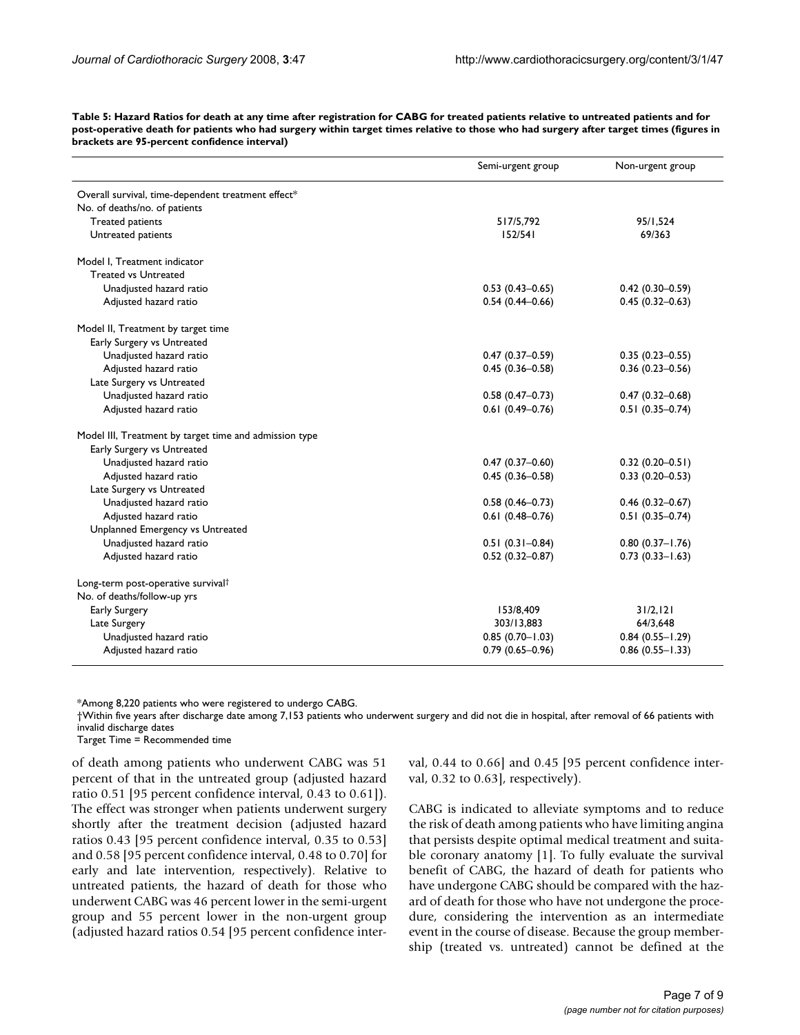|                                                        | Semi-urgent group   | Non-urgent group    |
|--------------------------------------------------------|---------------------|---------------------|
| Overall survival, time-dependent treatment effect*     |                     |                     |
| No. of deaths/no. of patients                          |                     |                     |
| <b>Treated patients</b>                                | 517/5.792           | 95/1,524            |
| Untreated patients                                     | 152/541             | 69/363              |
| Model I, Treatment indicator                           |                     |                     |
| <b>Treated vs Untreated</b>                            |                     |                     |
| Unadjusted hazard ratio                                | $0.53(0.43 - 0.65)$ | $0.42(0.30-0.59)$   |
| Adjusted hazard ratio                                  | $0.54(0.44 - 0.66)$ | $0.45(0.32 - 0.63)$ |
| Model II, Treatment by target time                     |                     |                     |
| Early Surgery vs Untreated                             |                     |                     |
| Unadjusted hazard ratio                                | $0.47(0.37-0.59)$   | $0.35(0.23 - 0.55)$ |
| Adjusted hazard ratio                                  | $0.45(0.36 - 0.58)$ | $0.36(0.23 - 0.56)$ |
| Late Surgery vs Untreated                              |                     |                     |
| Unadjusted hazard ratio                                | $0.58(0.47-0.73)$   | $0.47(0.32 - 0.68)$ |
| Adjusted hazard ratio                                  | $0.61(0.49 - 0.76)$ | $0.51(0.35 - 0.74)$ |
| Model III, Treatment by target time and admission type |                     |                     |
| Early Surgery vs Untreated                             |                     |                     |
| Unadjusted hazard ratio                                | $0.47(0.37-0.60)$   | $0.32(0.20 - 0.51)$ |
| Adjusted hazard ratio                                  | $0.45(0.36 - 0.58)$ | $0.33(0.20 - 0.53)$ |
| Late Surgery vs Untreated                              |                     |                     |
| Unadjusted hazard ratio                                | $0.58(0.46 - 0.73)$ | $0.46(0.32 - 0.67)$ |
| Adjusted hazard ratio                                  | $0.61(0.48 - 0.76)$ | $0.51(0.35 - 0.74)$ |
| Unplanned Emergency vs Untreated                       |                     |                     |
| Unadjusted hazard ratio                                | $0.51(0.31 - 0.84)$ | $0.80(0.37 - 1.76)$ |
| Adjusted hazard ratio                                  | $0.52(0.32 - 0.87)$ | $0.73(0.33 - 1.63)$ |
| Long-term post-operative survival <sup>†</sup>         |                     |                     |
| No. of deaths/follow-up yrs                            |                     |                     |
| Early Surgery                                          | 153/8,409           | 31/2,121            |
| Late Surgery                                           | 303/13,883          | 64/3,648            |
| Unadjusted hazard ratio                                | $0.85(0.70 - 1.03)$ | $0.84(0.55 - 1.29)$ |
| Adjusted hazard ratio                                  | $0.79(0.65 - 0.96)$ | $0.86(0.55 - 1.33)$ |

**Table 5: Hazard Ratios for death at any time after registration for CABG for treated patients relative to untreated patients and for post-operative death for patients who had surgery within target times relative to those who had surgery after target times (figures in brackets are 95-percent confidence interval)**

\*Among 8,220 patients who were registered to undergo CABG.

†Within five years after discharge date among 7,153 patients who underwent surgery and did not die in hospital, after removal of 66 patients with invalid discharge dates

Target Time = Recommended time

of death among patients who underwent CABG was 51 percent of that in the untreated group (adjusted hazard ratio 0.51 [95 percent confidence interval, 0.43 to 0.61]). The effect was stronger when patients underwent surgery shortly after the treatment decision (adjusted hazard ratios 0.43 [95 percent confidence interval, 0.35 to 0.53] and 0.58 [95 percent confidence interval, 0.48 to 0.70] for early and late intervention, respectively). Relative to untreated patients, the hazard of death for those who underwent CABG was 46 percent lower in the semi-urgent group and 55 percent lower in the non-urgent group (adjusted hazard ratios 0.54 [95 percent confidence interval, 0.44 to 0.66] and 0.45 [95 percent confidence interval, 0.32 to 0.63], respectively).

CABG is indicated to alleviate symptoms and to reduce the risk of death among patients who have limiting angina that persists despite optimal medical treatment and suitable coronary anatomy [1]. To fully evaluate the survival benefit of CABG, the hazard of death for patients who have undergone CABG should be compared with the hazard of death for those who have not undergone the procedure, considering the intervention as an intermediate event in the course of disease. Because the group membership (treated vs. untreated) cannot be defined at the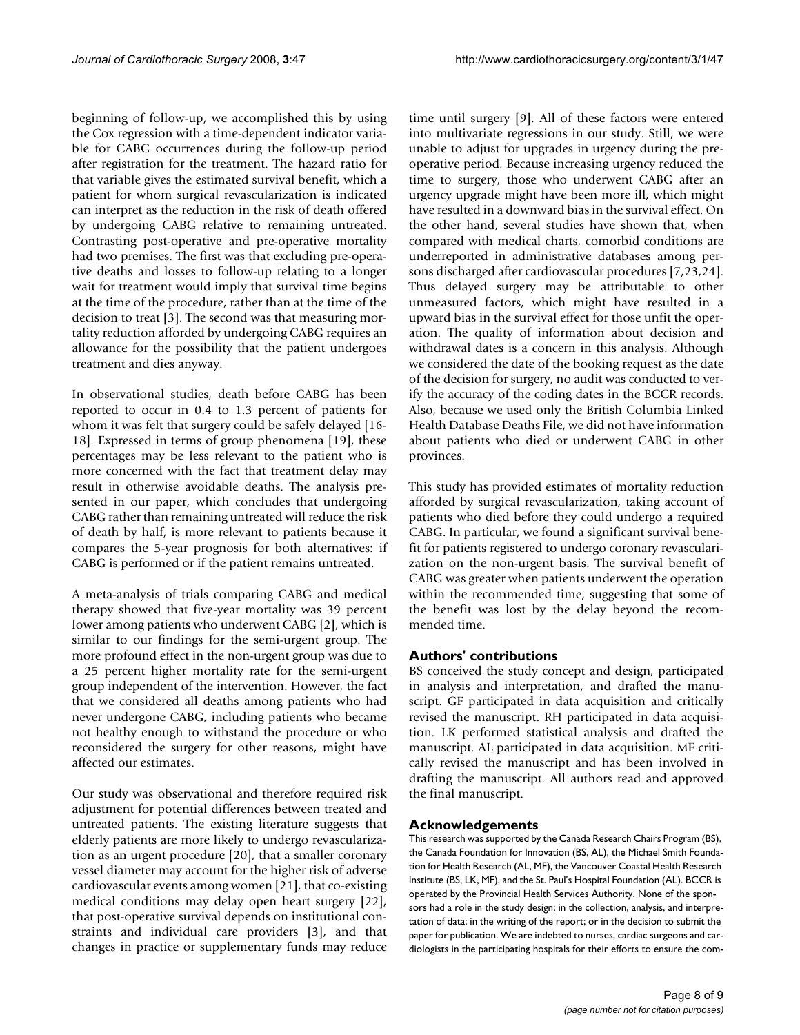beginning of follow-up, we accomplished this by using the Cox regression with a time-dependent indicator variable for CABG occurrences during the follow-up period after registration for the treatment. The hazard ratio for that variable gives the estimated survival benefit, which a patient for whom surgical revascularization is indicated can interpret as the reduction in the risk of death offered by undergoing CABG relative to remaining untreated. Contrasting post-operative and pre-operative mortality had two premises. The first was that excluding pre-operative deaths and losses to follow-up relating to a longer wait for treatment would imply that survival time begins at the time of the procedure, rather than at the time of the decision to treat [3]. The second was that measuring mortality reduction afforded by undergoing CABG requires an allowance for the possibility that the patient undergoes treatment and dies anyway.

In observational studies, death before CABG has been reported to occur in 0.4 to 1.3 percent of patients for whom it was felt that surgery could be safely delayed [16- 18]. Expressed in terms of group phenomena [19], these percentages may be less relevant to the patient who is more concerned with the fact that treatment delay may result in otherwise avoidable deaths. The analysis presented in our paper, which concludes that undergoing CABG rather than remaining untreated will reduce the risk of death by half, is more relevant to patients because it compares the 5-year prognosis for both alternatives: if CABG is performed or if the patient remains untreated.

A meta-analysis of trials comparing CABG and medical therapy showed that five-year mortality was 39 percent lower among patients who underwent CABG [2], which is similar to our findings for the semi-urgent group. The more profound effect in the non-urgent group was due to a 25 percent higher mortality rate for the semi-urgent group independent of the intervention. However, the fact that we considered all deaths among patients who had never undergone CABG, including patients who became not healthy enough to withstand the procedure or who reconsidered the surgery for other reasons, might have affected our estimates.

Our study was observational and therefore required risk adjustment for potential differences between treated and untreated patients. The existing literature suggests that elderly patients are more likely to undergo revascularization as an urgent procedure [20], that a smaller coronary vessel diameter may account for the higher risk of adverse cardiovascular events among women [21], that co-existing medical conditions may delay open heart surgery [22], that post-operative survival depends on institutional constraints and individual care providers [3], and that changes in practice or supplementary funds may reduce time until surgery [9]. All of these factors were entered into multivariate regressions in our study. Still, we were unable to adjust for upgrades in urgency during the preoperative period. Because increasing urgency reduced the time to surgery, those who underwent CABG after an urgency upgrade might have been more ill, which might have resulted in a downward bias in the survival effect. On the other hand, several studies have shown that, when compared with medical charts, comorbid conditions are underreported in administrative databases among persons discharged after cardiovascular procedures [7,23,24]. Thus delayed surgery may be attributable to other unmeasured factors, which might have resulted in a upward bias in the survival effect for those unfit the operation. The quality of information about decision and withdrawal dates is a concern in this analysis. Although we considered the date of the booking request as the date of the decision for surgery, no audit was conducted to verify the accuracy of the coding dates in the BCCR records. Also, because we used only the British Columbia Linked Health Database Deaths File, we did not have information about patients who died or underwent CABG in other provinces.

This study has provided estimates of mortality reduction afforded by surgical revascularization, taking account of patients who died before they could undergo a required CABG. In particular, we found a significant survival benefit for patients registered to undergo coronary revascularization on the non-urgent basis. The survival benefit of CABG was greater when patients underwent the operation within the recommended time, suggesting that some of the benefit was lost by the delay beyond the recommended time.

## **Authors' contributions**

BS conceived the study concept and design, participated in analysis and interpretation, and drafted the manuscript. GF participated in data acquisition and critically revised the manuscript. RH participated in data acquisition. LK performed statistical analysis and drafted the manuscript. AL participated in data acquisition. MF critically revised the manuscript and has been involved in drafting the manuscript. All authors read and approved the final manuscript.

## **Acknowledgements**

This research was supported by the Canada Research Chairs Program (BS), the Canada Foundation for Innovation (BS, AL), the Michael Smith Foundation for Health Research (AL, MF), the Vancouver Coastal Health Research Institute (BS, LK, MF), and the St. Paul's Hospital Foundation (AL). BCCR is operated by the Provincial Health Services Authority. None of the sponsors had a role in the study design; in the collection, analysis, and interpretation of data; in the writing of the report; or in the decision to submit the paper for publication. We are indebted to nurses, cardiac surgeons and cardiologists in the participating hospitals for their efforts to ensure the com-